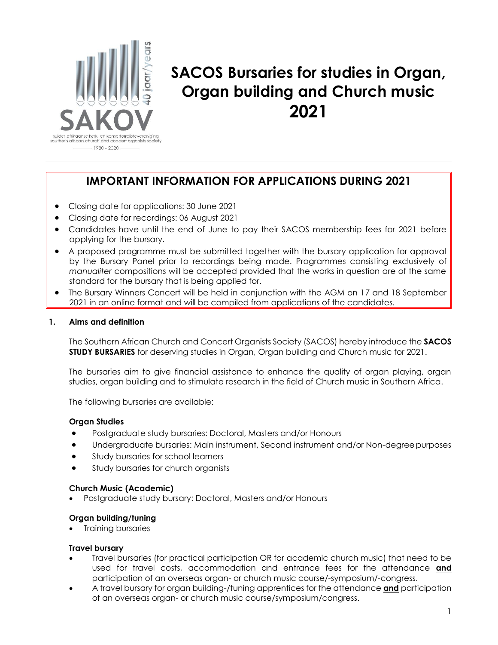

## **SACOS Bursaries for studies in Organ, Organ building and Church music 2021**

### **IMPORTANT INFORMATION FOR APPLICATIONS DURING 2021**

- Closing date for applications: 30 June 2021
- Closing date for recordings: 06 August 2021
- Candidates have until the end of June to pay their SACOS membership fees for 2021 before applying for the bursary.
- A proposed programme must be submitted together with the bursary application for approval by the Bursary Panel prior to recordings being made. Programmes consisting exclusively of *manualiter* compositions will be accepted provided that the works in question are of the same standard for the bursary that is being applied for.
- The Bursary Winners Concert will be held in conjunction with the AGM on 17 and 18 September 2021 in an online format and will be compiled from applications of the candidates.

#### **1. Aims and definition**

The Southern African Church and Concert Organists Society (SACOS) hereby introduce the **SACOS STUDY BURSARIES** for deserving studies in Organ, Organ building and Church music for 2021.

The bursaries aim to give financial assistance to enhance the quality of organ playing, organ studies, organ building and to stimulate research in the field of Church music in Southern Africa.

The following bursaries are available:

#### **Organ Studies**

- Postgraduate study bursaries: Doctoral, Masters and/or Honours
- Undergraduate bursaries: Main instrument, Second instrument and/or Non-degreepurposes
- Study bursaries for school learners
- Study bursaries for church organists

#### **Church Music (Academic)**

Postgraduate study bursary: Doctoral, Masters and/or Honours

#### **Organ building/tuning**

Training bursaries

#### **Travel bursary**

- Travel bursaries (for practical participation OR for academic church music) that need to be used for travel costs, accommodation and entrance fees for the attendance **and** participation of an overseas organ- or church music course/-symposium/-congress.
- A travel bursary for organ building-/tuning apprentices for the attendance **and** participation of an overseas organ- or church music course/symposium/congress.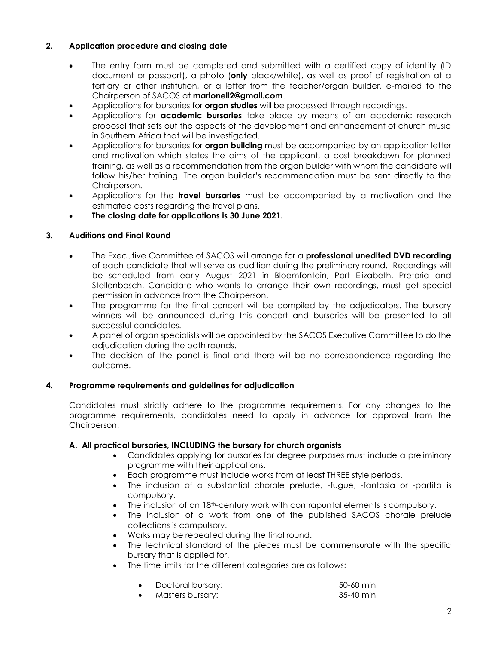#### **2. Application procedure and closing date**

- The entry form must be completed and submitted with a certified copy of identity (ID document or passport), a photo (**only** black/white), as well as proof of registration at a tertiary or other institution, or a letter from the teacher/organ builder, e-mailed to the Chairperson of SACOS at **[marionell2@gmail.com](mailto:marionell2@gmail.com)**.
- Applications for bursaries for **organ studies** will be processed through recordings.
- Applications for **academic bursaries** take place by means of an academic research proposal that sets out the aspects of the development and enhancement of church music in Southern Africa that will be investigated.
- Applications for bursaries for **organ building** must be accompanied by an application letter and motivation which states the aims of the applicant, a cost breakdown for planned training, as well as a recommendation from the organ builder with whom the candidate will follow his/her training. The organ builder's recommendation must be sent directly to the Chairperson.
- Applications for the **travel bursaries** must be accompanied by a motivation and the estimated costs regarding the travel plans.
- **The closing date for applications is 30 June 2021.**

#### **3. Auditions and Final Round**

- The Executive Committee of SACOS will arrange for a **professional unedited DVD recording** of each candidate that will serve as audition during the preliminary round. Recordings will be scheduled from early August 2021 in Bloemfontein, Port Elizabeth, Pretoria and Stellenbosch. Candidate who wants to arrange their own recordings, must get special permission in advance from the Chairperson.
- The programme for the final concert will be compiled by the adjudicators. The bursary winners will be announced during this concert and bursaries will be presented to all successful candidates.
- A panel of organ specialists will be appointed by the SACOS Executive Committee to do the adjudication during the both rounds.
- The decision of the panel is final and there will be no correspondence regarding the outcome.

#### **4. Programme requirements and guidelines for adjudication**

Candidates must strictly adhere to the programme requirements. For any changes to the programme requirements, candidates need to apply in advance for approval from the Chairperson.

#### **A. All practical bursaries, INCLUDING the bursary for church organists**

- Candidates applying for bursaries for degree purposes must include a preliminary programme with their applications.
- Each programme must include works from at least THREE style periods.
- The inclusion of a substantial chorale prelude, -fugue, -fantasia or -partita is compulsory.
- $\bullet$  The inclusion of an  $18<sup>th</sup>$ -century work with contrapuntal elements is compulsory.
- The inclusion of a work from one of the published SACOS chorale prelude collections is compulsory.
- Works may be repeated during the final round.
- The technical standard of the pieces must be commensurate with the specific bursary that is applied for.
- The time limits for the different categories are as follows:

| Doctoral bursary: | 50-60 min |
|-------------------|-----------|
| Masters bursary:  | 35-40 min |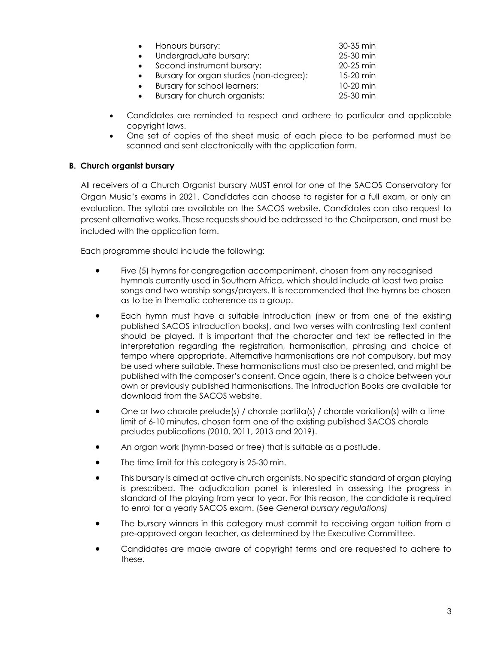|           | Honours bursary:                        | 30-35 min |
|-----------|-----------------------------------------|-----------|
|           | Undergraduate bursary:                  | 25-30 min |
|           | Second instrument bursary:              | 20-25 min |
|           | Bursary for organ studies (non-degree): | 15-20 min |
| $\bullet$ | Bursary for school learners:            | 10-20 min |
|           | Bursary for church organists:           | 25-30 min |

- Candidates are reminded to respect and adhere to particular and applicable copyright laws.
- One set of copies of the sheet music of each piece to be performed must be scanned and sent electronically with the application form.

#### **B. Church organist bursary**

All receivers of a Church Organist bursary MUST enrol for one of the SACOS Conservatory for Organ Music's exams in 2021. Candidates can choose to register for a full exam, or only an evaluation. The syllabi are available on the SACOS website. Candidates can also request to present alternative works. These requests should be addressed to the Chairperson, and must be included with the application form.

Each programme should include the following:

- Five (5) hymns for congregation accompaniment, chosen from any recognised hymnals currently used in Southern Africa, which should include at least two praise songs and two worship songs/prayers. It is recommended that the hymns be chosen as to be in thematic coherence as a group.
- Each hymn must have a suitable introduction (new or from one of the existing published SACOS introduction books), and two verses with contrasting text content should be played. It is important that the character and text be reflected in the interpretation regarding the registration, harmonisation, phrasing and choice of tempo where appropriate. Alternative harmonisations are not compulsory, but may be used where suitable. These harmonisations must also be presented, and might be published with the composer's consent. Once again, there is a choice between your own or previously published harmonisations. The Introduction Books are available for download from the SACOS website.
- One or two chorale prelude(s) / chorale partita(s) / chorale variation(s) with a time limit of 6-10 minutes, chosen form one of the existing published SACOS chorale preludes publications (2010, 2011, 2013 and 2019).
- An organ work (hymn-based or free) that is suitable as a postlude.
- The time limit for this category is 25-30 min.
- This bursary is aimed at active church organists. No specific standard of organ playing is prescribed. The adjudication panel is interested in assessing the progress in standard of the playing from year to year. For this reason, the candidate is required to enrol for a yearly SACOS exam. (See *General bursary regulations)*
- The bursary winners in this category must commit to receiving organ tuition from a pre-approved organ teacher, as determined by the Executive Committee.
- Candidates are made aware of copyright terms and are requested to adhere to these.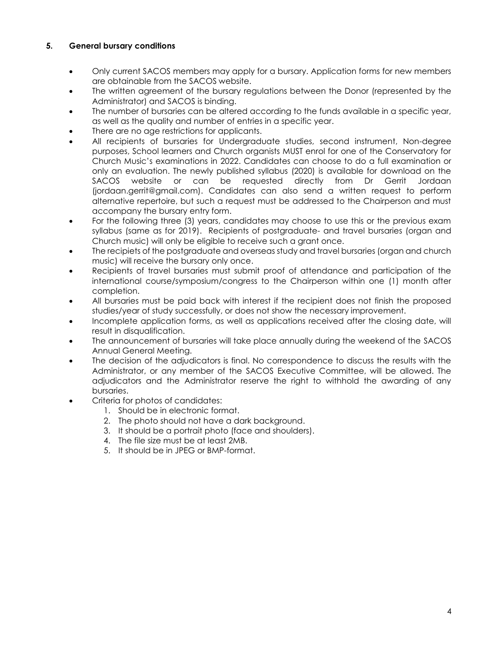#### **5. General bursary conditions**

- Only current SACOS members may apply for a bursary. Application forms for new members are obtainable from the SACOS website.
- The written agreement of the bursary regulations between the Donor (represented by the Administrator) and SACOS is binding.
- The number of bursaries can be altered according to the funds available in a specific year, as well as the quality and number of entries in a specific year.
- There are no age restrictions for applicants.
- All recipients of bursaries for Undergraduate studies, second instrument, Non-degree purposes, School learners and Church organists MUST enrol for one of the Conservatory for Church Music's examinations in 2022. Candidates can choose to do a full examination or only an evaluation. The newly published syllabus (2020) is available for download on the SACOS website or can be requested directly from Dr Gerrit Jordaan (jordaan.gerrit@gmail.com). Candidates can also send a written request to perform alternative repertoire, but such a request must be addressed to the Chairperson and must accompany the bursary entry form.
- For the following three (3) years, candidates may choose to use this or the previous exam syllabus (same as for 2019). Recipients of postgraduate- and travel bursaries (organ and Church music) will only be eligible to receive such a grant once.
- The recipiets of the postgraduate and overseas study and travel bursaries (organ and church music) will receive the bursary only once.
- Recipients of travel bursaries must submit proof of attendance and participation of the international course/symposium/congress to the Chairperson within one (1) month after completion.
- All bursaries must be paid back with interest if the recipient does not finish the proposed studies/year of study successfully, or does not show the necessary improvement.
- Incomplete application forms, as well as applications received after the closing date, will result in disqualification.
- The announcement of bursaries will take place annually during the weekend of the SACOS Annual General Meeting.
- The decision of the adjudicators is final. No correspondence to discuss the results with the Administrator, or any member of the SACOS Executive Committee, will be allowed. The adjudicators and the Administrator reserve the right to withhold the awarding of any bursaries.
- Criteria for photos of candidates:
	- 1. Should be in electronic format.
	- 2. The photo should not have a dark background.
	- 3. It should be a portrait photo (face and shoulders).
	- 4. The file size must be at least 2MB.
	- 5. It should be in JPEG or BMP-format.